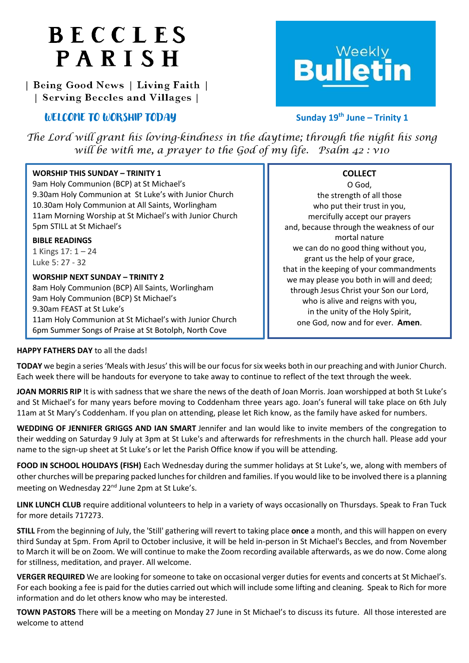# BECCLES PARISH

| Being Good News | Living Faith | | Serving Beccles and Villages |

## *WELCOME TO WORSHIP TODAY*



### **th June – Trinity 1**

*The Lord will grant his loving-kindness in the daytime; through the night his song will be with me, a prayer to the God of my life. Psalm 42 : v10*

| <b>WORSHIP THIS SUNDAY - TRINITY 1</b>                  | <b>COLLECT</b>                           |
|---------------------------------------------------------|------------------------------------------|
| 9am Holy Communion (BCP) at St Michael's                | O God,                                   |
| 9.30am Holy Communion at St Luke's with Junior Church   | the strength of all those                |
| 10.30am Holy Communion at All Saints, Worlingham        | who put their trust in you,              |
| 11am Morning Worship at St Michael's with Junior Church | mercifully accept our prayers            |
| 5pm STILL at St Michael's                               | and, because through the weakness of our |
| <b>BIBLE READINGS</b>                                   | mortal nature                            |
| 1 Kings $17:1 - 24$                                     | we can do no good thing without you,     |
| Luke 5: 27 - 32                                         | grant us the help of your grace,         |
| <b>WORSHIP NEXT SUNDAY - TRINITY 2</b>                  | that in the keeping of your commandments |
| 8am Holy Communion (BCP) All Saints, Worlingham         | we may please you both in will and deed; |
| 9am Holy Communion (BCP) St Michael's                   | through Jesus Christ your Son our Lord,  |
| 9.30am FEAST at St Luke's                               | who is alive and reigns with you,        |
| 11am Holy Communion at St Michael's with Junior Church  | in the unity of the Holy Spirit,         |
| 6pm Summer Songs of Praise at St Botolph, North Cove    | one God, now and for ever. Amen.         |

#### **HAPPY FATHERS DAY** to all the dads!

**TODAY** we begin a series 'Meals with Jesus' this will be our focus for six weeks both in our preaching and with Junior Church. Each week there will be handouts for everyone to take away to continue to reflect of the text through the week.

**JOAN MORRIS RIP** It is with sadness that we share the news of the death of Joan Morris. Joan worshipped at both St Luke's and St Michael's for many years before moving to Coddenham three years ago. Joan's funeral will take place on 6th July 11am at St Mary's Coddenham. If you plan on attending, please let Rich know, as the family have asked for numbers.

**WEDDING OF JENNIFER GRIGGS AND IAN SMART** Jennifer and Ian would like to invite members of the congregation to their wedding on Saturday 9 July at 3pm at St Luke's and afterwards for refreshments in the church hall. Please add your name to the sign-up sheet at St Luke's or let the Parish Office know if you will be attending.

**FOOD IN SCHOOL HOLIDAYS (FISH)** Each Wednesday during the summer holidays at St Luke's, we, along with members of other churches will be preparing packed lunches for children and families. If you would like to be involved there is a planning meeting on Wednesday 22<sup>nd</sup> June 2pm at St Luke's.

**LINK LUNCH CLUB** require additional volunteers to help in a variety of ways occasionally on Thursdays. Speak to Fran Tuck for more details 717273.

**STILL** From the beginning of July, the 'Still' gathering will revert to taking place **once** a month, and this will happen on every third Sunday at 5pm. From April to October inclusive, it will be held in-person in St Michael's Beccles, and from November to March it will be on Zoom. We will continue to make the Zoom recording available afterwards, as we do now. Come along for stillness, meditation, and prayer. All welcome.

**VERGER REQUIRED** We are looking for someone to take on occasional verger duties for events and concerts at St Michael's. For each booking a fee is paid for the duties carried out which will include some lifting and cleaning. Speak to Rich for more information and do let others know who may be interested.

**TOWN PASTORS** There will be a meeting on Monday 27 June in St Michael's to discuss its future. All those interested are welcome to attend